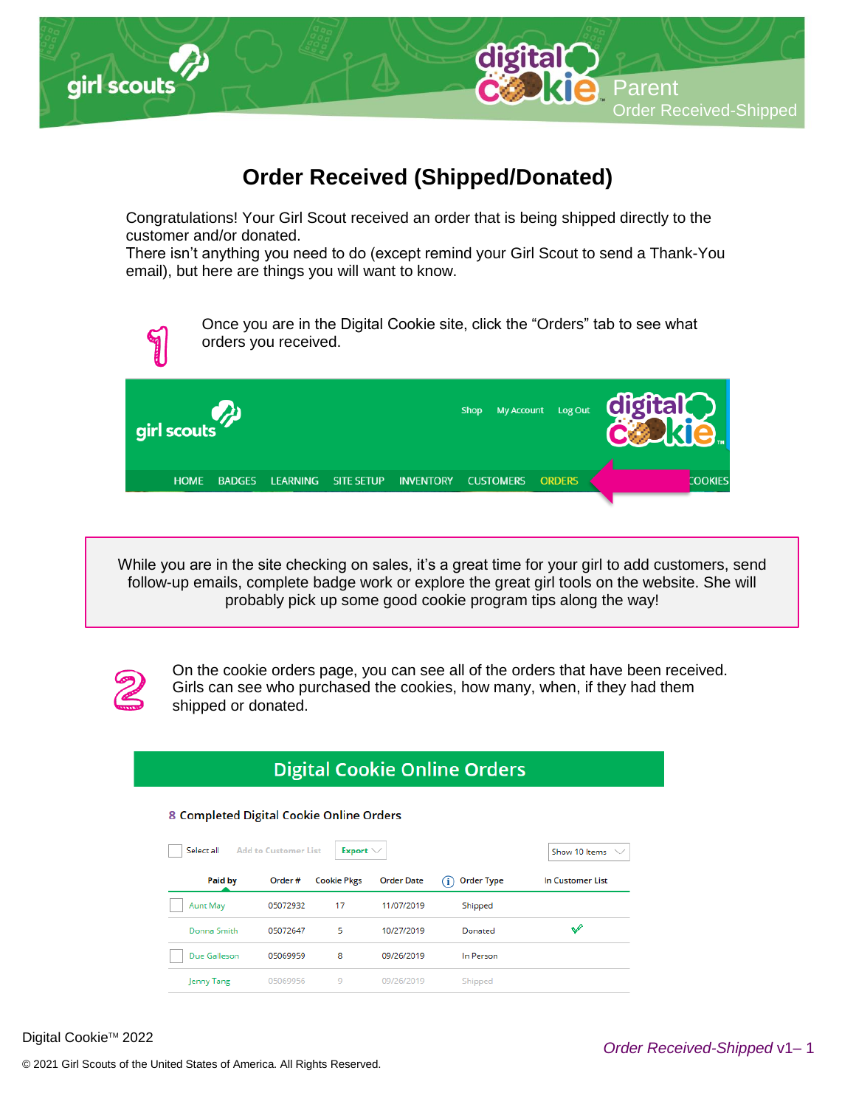

## **Order Received (Shipped/Donated)**

Congratulations! Your Girl Scout received an order that is being shipped directly to the customer and/or donated.

There isn't anything you need to do (except remind your Girl Scout to send a Thank-You email), but here are things you will want to know.

Once you are in the Digital Cookie site, click the "Orders" tab to see what orders you received.



. follow-up emails, complete badge work or explore the great girl tools on the website. She will While you are in the site checking on sales, it's a great time for your girl to add customers, send probably pick up some good cookie program tips along the way!



On the cookie orders page, you can see all of the orders that have been received. Girls can see who purchased the cookies, how many, when, if they had them shipped or donated.

## **Digital Cookie Online Orders**

## 8 Completed Digital Cookie Online Orders

| Select all<br><b>Add to Customer List</b> | Export $\vee$ |                    | Show 10 Items $\vee$ |                                         |                  |
|-------------------------------------------|---------------|--------------------|----------------------|-----------------------------------------|------------------|
| Paid by                                   | Order #       | <b>Cookie Pkgs</b> | <b>Order Date</b>    | <b>Order Type</b><br>$\epsilon_{\rm D}$ | In Customer List |
| <b>Aunt May</b>                           | 05072932      | 17                 | 11/07/2019           | Shipped                                 |                  |
| Donna Smith                               | 05072647      | 5                  | 10/27/2019           | Donated                                 | v                |
| Due Galleson                              | 05069959      | 8                  | 09/26/2019           | In Person                               |                  |
| Jenny Tang                                | 05069956      | 9                  | 09/26/2019           | Shipped                                 |                  |

Digital Cookie<sup>™</sup> 2022